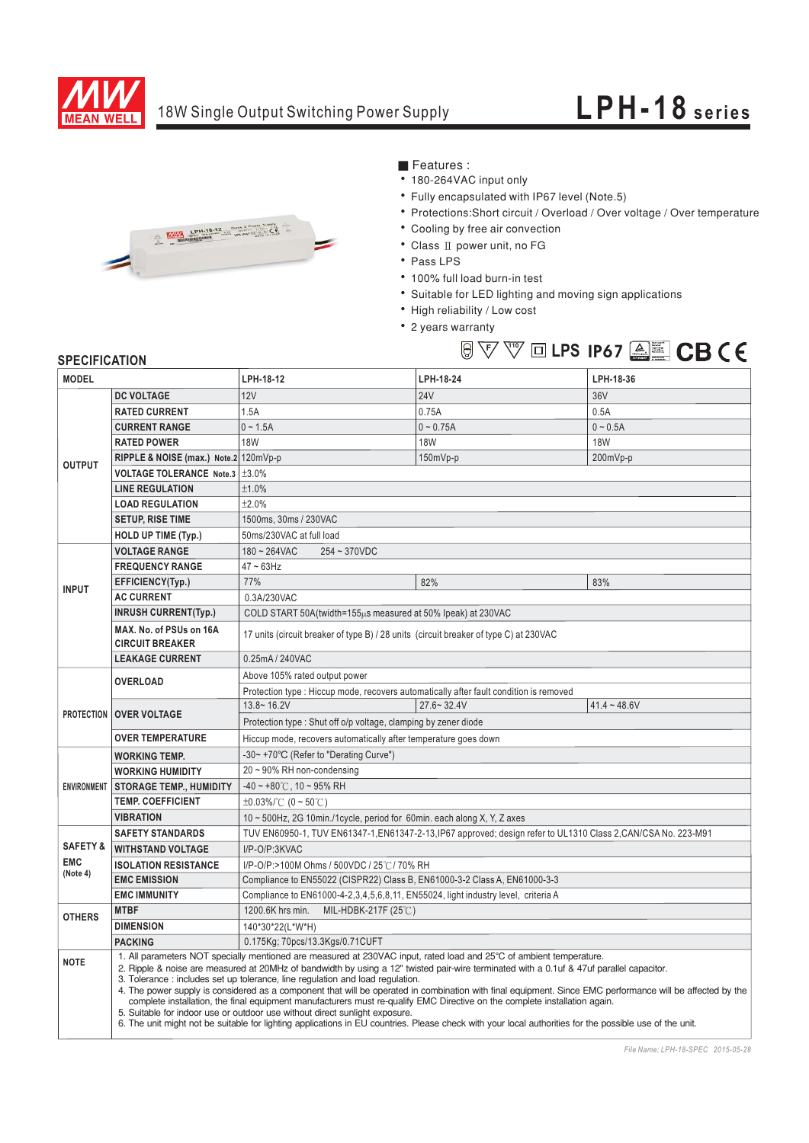

## 18W Single Output Switching Power Supply

## **LPH-18 series**



■ Features :

- 180-264VAC input only
- Fully encapsulated with IP67 level (Note.5)
- Protections: Short circuit / Overload / Over voltage / Over temperature
- Cooling by free air convection
- Class II power unit, no FG
- Pass LPS
- · 100% full load burn-in test
- Suitable for LED lighting and moving sign applications

**LPS IP67 -**

- High reliability / Low cost
- 2 years warranty

## **SPECIFICATION**

| <b>MODEL</b>           |                                                                                                                                                                                                                                                                                                                                                                                                                                                                                                                                                                                                                                                                                                                                                                                                                                                                                       | LPH-18-12                                                                                                      | LPH-18-24      | LPH-18-36      |
|------------------------|---------------------------------------------------------------------------------------------------------------------------------------------------------------------------------------------------------------------------------------------------------------------------------------------------------------------------------------------------------------------------------------------------------------------------------------------------------------------------------------------------------------------------------------------------------------------------------------------------------------------------------------------------------------------------------------------------------------------------------------------------------------------------------------------------------------------------------------------------------------------------------------|----------------------------------------------------------------------------------------------------------------|----------------|----------------|
| <b>OUTPUT</b>          | <b>DC VOLTAGE</b>                                                                                                                                                                                                                                                                                                                                                                                                                                                                                                                                                                                                                                                                                                                                                                                                                                                                     | <b>12V</b>                                                                                                     | <b>24V</b>     | 36V            |
|                        | <b>RATED CURRENT</b>                                                                                                                                                                                                                                                                                                                                                                                                                                                                                                                                                                                                                                                                                                                                                                                                                                                                  | 1.5A                                                                                                           | 0.75A          | 0.5A           |
|                        | <b>CURRENT RANGE</b>                                                                                                                                                                                                                                                                                                                                                                                                                                                                                                                                                                                                                                                                                                                                                                                                                                                                  | $0 - 1.5A$                                                                                                     | $0 - 0.75A$    | $0 - 0.5A$     |
|                        | <b>RATED POWER</b>                                                                                                                                                                                                                                                                                                                                                                                                                                                                                                                                                                                                                                                                                                                                                                                                                                                                    | <b>18W</b>                                                                                                     | <b>18W</b>     | <b>18W</b>     |
|                        | RIPPLE & NOISE (max.) Note.2 120mVp-p                                                                                                                                                                                                                                                                                                                                                                                                                                                                                                                                                                                                                                                                                                                                                                                                                                                 |                                                                                                                | 150mVp-p       | 200mVp-p       |
|                        | VOLTAGE TOLERANCE Note.3   ±3.0%                                                                                                                                                                                                                                                                                                                                                                                                                                                                                                                                                                                                                                                                                                                                                                                                                                                      |                                                                                                                |                |                |
|                        | <b>LINE REGULATION</b>                                                                                                                                                                                                                                                                                                                                                                                                                                                                                                                                                                                                                                                                                                                                                                                                                                                                | ±1.0%                                                                                                          |                |                |
|                        | <b>LOAD REGULATION</b>                                                                                                                                                                                                                                                                                                                                                                                                                                                                                                                                                                                                                                                                                                                                                                                                                                                                | ±2.0%                                                                                                          |                |                |
|                        | <b>SETUP, RISE TIME</b>                                                                                                                                                                                                                                                                                                                                                                                                                                                                                                                                                                                                                                                                                                                                                                                                                                                               | 1500ms, 30ms / 230VAC                                                                                          |                |                |
|                        | <b>HOLD UP TIME (Typ.)</b>                                                                                                                                                                                                                                                                                                                                                                                                                                                                                                                                                                                                                                                                                                                                                                                                                                                            | 50ms/230VAC at full load                                                                                       |                |                |
|                        | <b>VOLTAGE RANGE</b>                                                                                                                                                                                                                                                                                                                                                                                                                                                                                                                                                                                                                                                                                                                                                                                                                                                                  | $180 - 264$ VAC<br>$254 - 370VDC$                                                                              |                |                |
| <b>INPUT</b>           | <b>FREQUENCY RANGE</b>                                                                                                                                                                                                                                                                                                                                                                                                                                                                                                                                                                                                                                                                                                                                                                                                                                                                | $47 - 63$ Hz                                                                                                   |                |                |
|                        | EFFICIENCY(Typ.)                                                                                                                                                                                                                                                                                                                                                                                                                                                                                                                                                                                                                                                                                                                                                                                                                                                                      | 77%                                                                                                            | 82%            | 83%            |
|                        | <b>AC CURRENT</b>                                                                                                                                                                                                                                                                                                                                                                                                                                                                                                                                                                                                                                                                                                                                                                                                                                                                     | 0.3A/230VAC                                                                                                    |                |                |
|                        | <b>INRUSH CURRENT(Typ.)</b>                                                                                                                                                                                                                                                                                                                                                                                                                                                                                                                                                                                                                                                                                                                                                                                                                                                           | COLD START 50A(twidth=155us measured at 50% Ipeak) at 230VAC                                                   |                |                |
|                        | MAX. No. of PSUs on 16A<br><b>CIRCUIT BREAKER</b>                                                                                                                                                                                                                                                                                                                                                                                                                                                                                                                                                                                                                                                                                                                                                                                                                                     | 17 units (circuit breaker of type B) / 28 units (circuit breaker of type C) at 230VAC                          |                |                |
|                        | <b>LEAKAGE CURRENT</b>                                                                                                                                                                                                                                                                                                                                                                                                                                                                                                                                                                                                                                                                                                                                                                                                                                                                | 0.25mA / 240VAC                                                                                                |                |                |
|                        | <b>OVERLOAD</b>                                                                                                                                                                                                                                                                                                                                                                                                                                                                                                                                                                                                                                                                                                                                                                                                                                                                       | Above 105% rated output power                                                                                  |                |                |
|                        |                                                                                                                                                                                                                                                                                                                                                                                                                                                                                                                                                                                                                                                                                                                                                                                                                                                                                       | Protection type : Hiccup mode, recovers automatically after fault condition is removed                         |                |                |
|                        | <b>PROTECTION OVER VOLTAGE</b>                                                                                                                                                                                                                                                                                                                                                                                                                                                                                                                                                                                                                                                                                                                                                                                                                                                        | $13.8 - 16.2V$                                                                                                 | $27.6 - 32.4V$ | $41.4 - 48.6V$ |
|                        |                                                                                                                                                                                                                                                                                                                                                                                                                                                                                                                                                                                                                                                                                                                                                                                                                                                                                       | Protection type: Shut off o/p voltage, clamping by zener diode                                                 |                |                |
|                        | <b>OVER TEMPERATURE</b>                                                                                                                                                                                                                                                                                                                                                                                                                                                                                                                                                                                                                                                                                                                                                                                                                                                               | Hiccup mode, recovers automatically after temperature goes down                                                |                |                |
|                        | <b>WORKING TEMP.</b>                                                                                                                                                                                                                                                                                                                                                                                                                                                                                                                                                                                                                                                                                                                                                                                                                                                                  | -30~ +70°C (Refer to "Derating Curve")                                                                         |                |                |
| <b>ENVIRONMENT</b>     | <b>WORKING HUMIDITY</b>                                                                                                                                                                                                                                                                                                                                                                                                                                                                                                                                                                                                                                                                                                                                                                                                                                                               | $20 \sim 90\%$ RH non-condensing                                                                               |                |                |
|                        | <b>STORAGE TEMP., HUMIDITY</b>                                                                                                                                                                                                                                                                                                                                                                                                                                                                                                                                                                                                                                                                                                                                                                                                                                                        | $-40 \sim +80^{\circ}$ C, 10 ~ 95% RH                                                                          |                |                |
|                        | <b>TEMP, COEFFICIENT</b>                                                                                                                                                                                                                                                                                                                                                                                                                                                                                                                                                                                                                                                                                                                                                                                                                                                              | $\pm 0.03\%$ (0 ~ 50°C)                                                                                        |                |                |
|                        | <b>VIBRATION</b>                                                                                                                                                                                                                                                                                                                                                                                                                                                                                                                                                                                                                                                                                                                                                                                                                                                                      | 10 ~ 500Hz, 2G 10min./1cycle, period for 60min. each along X, Y, Z axes                                        |                |                |
|                        | <b>SAFETY STANDARDS</b>                                                                                                                                                                                                                                                                                                                                                                                                                                                                                                                                                                                                                                                                                                                                                                                                                                                               | TUV EN60950-1, TUV EN61347-1, EN61347-2-13, IP67 approved; design refer to UL1310 Class 2, CAN/CSA No. 223-M91 |                |                |
| <b>SAFETY &amp;</b>    | <b>WITHSTAND VOLTAGE</b>                                                                                                                                                                                                                                                                                                                                                                                                                                                                                                                                                                                                                                                                                                                                                                                                                                                              | I/P-O/P:3KVAC                                                                                                  |                |                |
| <b>EMC</b><br>(Note 4) | <b>ISOLATION RESISTANCE</b>                                                                                                                                                                                                                                                                                                                                                                                                                                                                                                                                                                                                                                                                                                                                                                                                                                                           | I/P-O/P:>100M Ohms / 500VDC / 25℃/ 70% RH                                                                      |                |                |
|                        | <b>EMC EMISSION</b>                                                                                                                                                                                                                                                                                                                                                                                                                                                                                                                                                                                                                                                                                                                                                                                                                                                                   | Compliance to EN55022 (CISPR22) Class B, EN61000-3-2 Class A, EN61000-3-3                                      |                |                |
|                        | <b>EMC IMMUNITY</b>                                                                                                                                                                                                                                                                                                                                                                                                                                                                                                                                                                                                                                                                                                                                                                                                                                                                   | Compliance to EN61000-4-2,3,4,5,6,8,11, EN55024, light industry level, criteria A                              |                |                |
| <b>OTHERS</b>          | <b>MTBF</b>                                                                                                                                                                                                                                                                                                                                                                                                                                                                                                                                                                                                                                                                                                                                                                                                                                                                           | 1200.6K hrs min.<br>MIL-HDBK-217F (25℃)                                                                        |                |                |
|                        | <b>DIMENSION</b>                                                                                                                                                                                                                                                                                                                                                                                                                                                                                                                                                                                                                                                                                                                                                                                                                                                                      | 140*30*22(L*W*H)                                                                                               |                |                |
|                        | <b>PACKING</b>                                                                                                                                                                                                                                                                                                                                                                                                                                                                                                                                                                                                                                                                                                                                                                                                                                                                        | 0.175Kg; 70pcs/13.3Kgs/0.71CUFT                                                                                |                |                |
| <b>NOTE</b>            | 1. All parameters NOT specially mentioned are measured at 230VAC input, rated load and 25°C of ambient temperature.<br>2. Ripple & noise are measured at 20MHz of bandwidth by using a 12" twisted pair-wire terminated with a 0.1uf & 47uf parallel capacitor.<br>3. Tolerance: includes set up tolerance, line regulation and load regulation.<br>4. The power supply is considered as a component that will be operated in combination with final equipment. Since EMC performance will be affected by the<br>complete installation, the final equipment manufacturers must re-qualify EMC Directive on the complete installation again.<br>5. Suitable for indoor use or outdoor use without direct sunlight exposure.<br>6. The unit might not be suitable for lighting applications in EU countries. Please check with your local authorities for the possible use of the unit. |                                                                                                                |                |                |